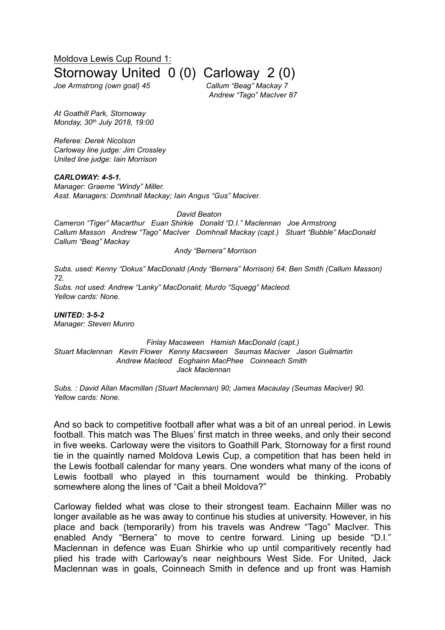Moldova Lewis Cup Round 1:

## Stornoway United 0 (0) Carloway 2 (0)

*Joe Armstrong (own goal) 45 Callum "Beag" Mackay 7*

*Andrew "Tago" MacIver 87*

*At Goathill Park, Stornoway Monday, 30th July 2018, 19:00*

*Referee: Derek Nicolson Carloway line judge: Jim Crossley United line judge: Iain Morrison*

*CARLOWAY: 4-5-1. Manager: Graeme "Windy" Miller. Asst. Managers: Domhnall Mackay; Iain Angus "Gus" Maciver.*

*David Beaton*

*Cameron "Tiger" Macarthur Euan Shirkie Donald "D.I." Maclennan Joe Armstrong Callum Masson Andrew "Tago" MacIver Domhnall Mackay (capt.) Stuart "Bubble" MacDonald Callum "Beag" Mackay*

*Andy "Bernera" Morrison*

*Subs. used: Kenny "Dokus" MacDonald (Andy "Bernera" Morrison) 64; Ben Smith (Callum Masson) 72. Subs. not used: Andrew "Lanky" MacDonald; Murdo "Squegg" Macleod. Yellow cards: None.*

*UNITED: 3-5-2 Manager: Steven Munro*

*Finlay Macsween Hamish MacDonald (capt.) Stuart Maclennan Kevin Flower Kenny Macsween Seumas Maciver Jason Guilmartin Andrew Macleod Eoghainn MacPhee Coinneach Smith Jack Maclennan*

*Subs. : David Allan Macmillan (Stuart Maclennan) 90; James Macaulay (Seumas Maciver) 90. Yellow cards: None.*

And so back to competitive football after what was a bit of an unreal period. in Lewis football. This match was The Blues' first match in three weeks, and only their second in five weeks. Carloway were the visitors to Goathill Park, Stornoway for a first round tie in the quaintly named Moldova Lewis Cup, a competition that has been held in the Lewis football calendar for many years. One wonders what many of the icons of Lewis football who played in this tournament would be thinking. Probably somewhere along the lines of "Cait a bheil Moldova?"

Carloway fielded what was close to their strongest team. Eachainn Miller was no longer available as he was away to continue his studies at university. However, in his place and back (temporarily) from his travels was Andrew "Tago" MacIver. This enabled Andy "Bernera" to move to centre forward. Lining up beside "D.I." Maclennan in defence was Euan Shirkie who up until comparitively recently had plied his trade with Carloway's near neighbours West Side. For United, Jack Maclennan was in goals, Coinneach Smith in defence and up front was Hamish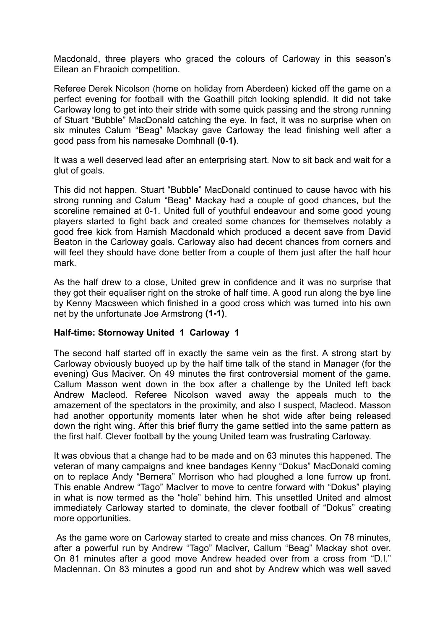Macdonald, three players who graced the colours of Carloway in this season's Eilean an Fhraoich competition.

Referee Derek Nicolson (home on holiday from Aberdeen) kicked off the game on a perfect evening for football with the Goathill pitch looking splendid. It did not take Carloway long to get into their stride with some quick passing and the strong running of Stuart "Bubble" MacDonald catching the eye. In fact, it was no surprise when on six minutes Calum "Beag" Mackay gave Carloway the lead finishing well after a good pass from his namesake Domhnall **(0-1)**.

It was a well deserved lead after an enterprising start. Now to sit back and wait for a glut of goals.

This did not happen. Stuart "Bubble" MacDonald continued to cause havoc with his strong running and Calum "Beag" Mackay had a couple of good chances, but the scoreline remained at 0-1. United full of youthful endeavour and some good young players started to fight back and created some chances for themselves notably a good free kick from Hamish Macdonald which produced a decent save from David Beaton in the Carloway goals. Carloway also had decent chances from corners and will feel they should have done better from a couple of them just after the half hour mark.

As the half drew to a close, United grew in confidence and it was no surprise that they got their equaliser right on the stroke of half time. A good run along the bye line by Kenny Macsween which finished in a good cross which was turned into his own net by the unfortunate Joe Armstrong **(1-1)**.

## **Half-time: Stornoway United 1 Carloway 1**

The second half started off in exactly the same vein as the first. A strong start by Carloway obviously buoyed up by the half time talk of the stand in Manager (for the evening) Gus Maciver. On 49 minutes the first controversial moment of the game. Callum Masson went down in the box after a challenge by the United left back Andrew Macleod. Referee Nicolson waved away the appeals much to the amazement of the spectators in the proximity, and also I suspect, Macleod. Masson had another opportunity moments later when he shot wide after being released down the right wing. After this brief flurry the game settled into the same pattern as the first half. Clever football by the young United team was frustrating Carloway.

It was obvious that a change had to be made and on 63 minutes this happened. The veteran of many campaigns and knee bandages Kenny "Dokus" MacDonald coming on to replace Andy "Bernera" Morrison who had ploughed a lone furrow up front. This enable Andrew "Tago" MacIver to move to centre forward with "Dokus" playing in what is now termed as the "hole" behind him. This unsettled United and almost immediately Carloway started to dominate, the clever football of "Dokus" creating more opportunities.

As the game wore on Carloway started to create and miss chances. On 78 minutes, after a powerful run by Andrew "Tago" MacIver, Callum "Beag" Mackay shot over. On 81 minutes after a good move Andrew headed over from a cross from "D.I." Maclennan. On 83 minutes a good run and shot by Andrew which was well saved